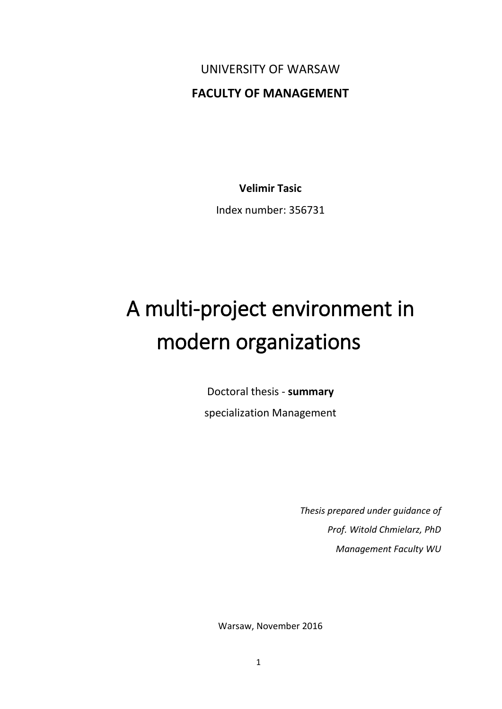UNIVERSITY OF WARSAW **FACULTY OF MANAGEMENT**

**Velimir Tasic**

Index number: 356731

# A multi-project environment in modern organizations

Doctoral thesis - **summary** specialization Management

> *Thesis prepared under guidance of Prof. Witold Chmielarz, PhD Management Faculty WU*

Warsaw, November 2016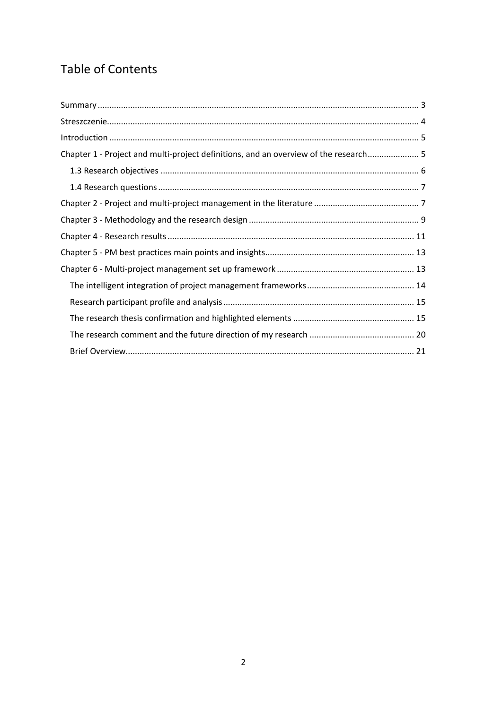# Table of Contents

| Chapter 1 - Project and multi-project definitions, and an overview of the research 5 |  |
|--------------------------------------------------------------------------------------|--|
|                                                                                      |  |
|                                                                                      |  |
|                                                                                      |  |
|                                                                                      |  |
|                                                                                      |  |
|                                                                                      |  |
|                                                                                      |  |
|                                                                                      |  |
|                                                                                      |  |
|                                                                                      |  |
|                                                                                      |  |
|                                                                                      |  |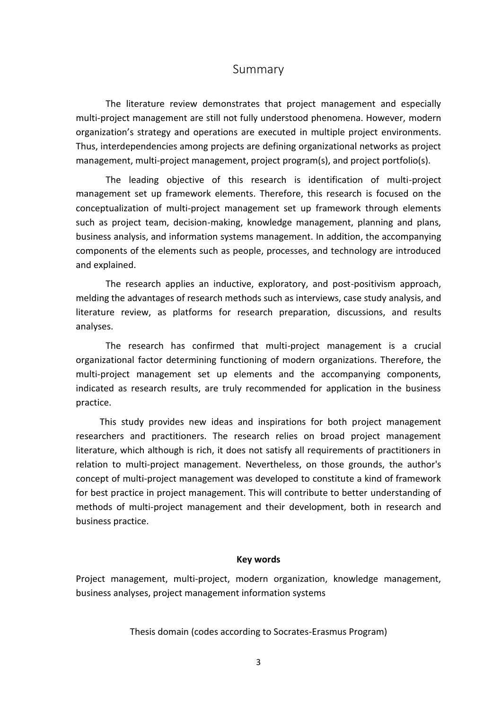#### Summary

<span id="page-2-0"></span>The literature review demonstrates that project management and especially multi-project management are still not fully understood phenomena. However, modern organization's strategy and operations are executed in multiple project environments. Thus, interdependencies among projects are defining organizational networks as project management, multi-project management, project program(s), and project portfolio(s).

The leading objective of this research is identification of multi-project management set up framework elements. Therefore, this research is focused on the conceptualization of multi-project management set up framework through elements such as project team, decision-making, knowledge management, planning and plans, business analysis, and information systems management. In addition, the accompanying components of the elements such as people, processes, and technology are introduced and explained.

The research applies an inductive, exploratory, and post-positivism approach, melding the advantages of research methods such as interviews, case study analysis, and literature review, as platforms for research preparation, discussions, and results analyses.

The research has confirmed that multi-project management is a crucial organizational factor determining functioning of modern organizations. Therefore, the multi-project management set up elements and the accompanying components, indicated as research results, are truly recommended for application in the business practice.

This study provides new ideas and inspirations for both project management researchers and practitioners. The research relies on broad project management literature, which although is rich, it does not satisfy all requirements of practitioners in relation to multi-project management. Nevertheless, on those grounds, the author's concept of multi-project management was developed to constitute a kind of framework for best practice in project management. This will contribute to better understanding of methods of multi-project management and their development, both in research and business practice.

#### **Key words**

Project management, multi-project, modern organization, knowledge management, business analyses, project management information systems

Thesis domain (codes according to Socrates-Erasmus Program)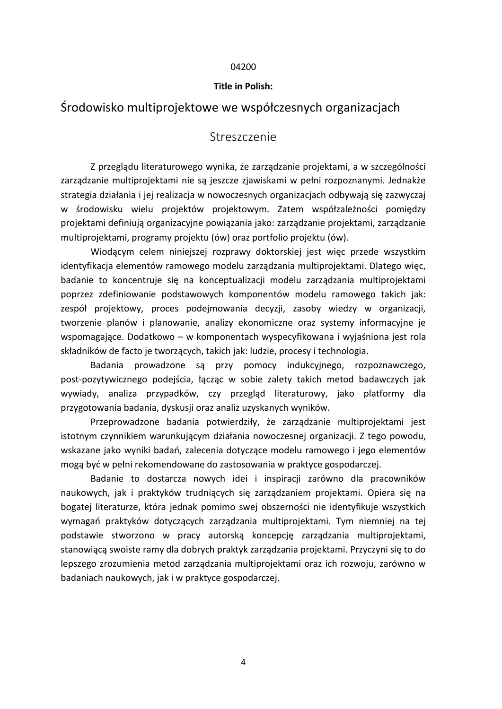#### 04200

#### **Title in Polish:**

# <span id="page-3-0"></span>Środowisko multiprojektowe we współczesnych organizacjach

## Streszczenie

Z przeglądu literaturowego wynika, że zarządzanie projektami, a w szczególności zarządzanie multiprojektami nie są jeszcze zjawiskami w pełni rozpoznanymi. Jednakże strategia działania i jej realizacja w nowoczesnych organizacjach odbywają się zazwyczaj w środowisku wielu projektów projektowym. Zatem współzależności pomiędzy projektami definiują organizacyjne powiązania jako: zarządzanie projektami, zarządzanie multiprojektami, programy projektu (ów) oraz portfolio projektu (ów).

Wiodącym celem niniejszej rozprawy doktorskiej jest więc przede wszystkim identyfikacja elementów ramowego modelu zarządzania multiprojektami. Dlatego więc, badanie to koncentruje się na konceptualizacji modelu zarządzania multiprojektami poprzez zdefiniowanie podstawowych komponentów modelu ramowego takich jak: zespół projektowy, proces podejmowania decyzji, zasoby wiedzy w organizacji, tworzenie planów i planowanie, analizy ekonomiczne oraz systemy informacyjne je wspomagające. Dodatkowo – w komponentach wyspecyfikowana i wyjaśniona jest rola składników de facto je tworzących, takich jak: ludzie, procesy i technologia.

Badania prowadzone są przy pomocy indukcyjnego, rozpoznawczego, post-pozytywicznego podejścia, łącząc w sobie zalety takich metod badawczych jak wywiady, analiza przypadków, czy przegląd literaturowy, jako platformy dla przygotowania badania, dyskusji oraz analiz uzyskanych wyników.

Przeprowadzone badania potwierdziły, że zarządzanie multiprojektami jest istotnym czynnikiem warunkującym działania nowoczesnej organizacji. Z tego powodu, wskazane jako wyniki badań, zalecenia dotyczące modelu ramowego i jego elementów mogą być w pełni rekomendowane do zastosowania w praktyce gospodarczej.

Badanie to dostarcza nowych idei i inspiracji zarówno dla pracowników naukowych, jak i praktyków trudniących się zarządzaniem projektami. Opiera się na bogatej literaturze, która jednak pomimo swej obszerności nie identyfikuje wszystkich wymagań praktyków dotyczących zarządzania multiprojektami. Tym niemniej na tej podstawie stworzono w pracy autorską koncepcję zarządzania multiprojektami, stanowiącą swoiste ramy dla dobrych praktyk zarządzania projektami. Przyczyni się to do lepszego zrozumienia metod zarządzania multiprojektami oraz ich rozwoju, zarówno w badaniach naukowych, jak i w praktyce gospodarczej.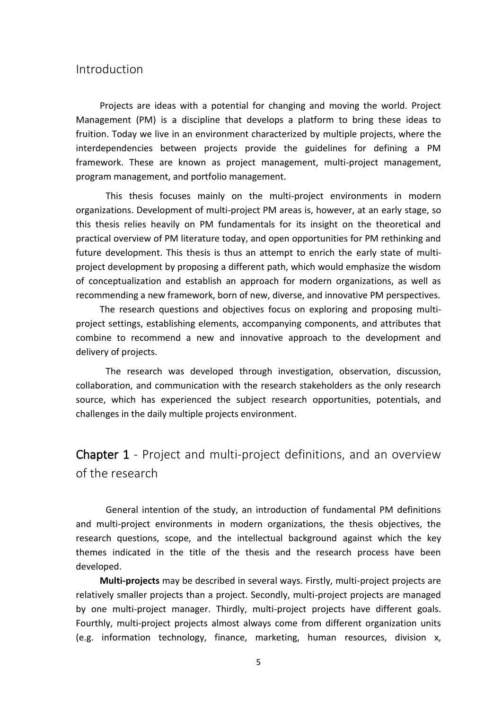#### <span id="page-4-0"></span>Introduction

Projects are ideas with a potential for changing and moving the world. Project Management (PM) is a discipline that develops a platform to bring these ideas to fruition. Today we live in an environment characterized by multiple projects, where the interdependencies between projects provide the guidelines for defining a PM framework. These are known as project management, multi-project management, program management, and portfolio management.

This thesis focuses mainly on the multi-project environments in modern organizations. Development of multi-project PM areas is, however, at an early stage, so this thesis relies heavily on PM fundamentals for its insight on the theoretical and practical overview of PM literature today, and open opportunities for PM rethinking and future development. This thesis is thus an attempt to enrich the early state of multiproject development by proposing a different path, which would emphasize the wisdom of conceptualization and establish an approach for modern organizations, as well as recommending a new framework, born of new, diverse, and innovative PM perspectives.

The research questions and objectives focus on exploring and proposing multiproject settings, establishing elements, accompanying components, and attributes that combine to recommend a new and innovative approach to the development and delivery of projects.

The research was developed through investigation, observation, discussion, collaboration, and communication with the research stakeholders as the only research source, which has experienced the subject research opportunities, potentials, and challenges in the daily multiple projects environment.

# <span id="page-4-1"></span>Chapter 1 - Project and multi-project definitions, and an overview of the research

General intention of the study, an introduction of fundamental PM definitions and multi-project environments in modern organizations, the thesis objectives, the research questions, scope, and the intellectual background against which the key themes indicated in the title of the thesis and the research process have been developed.

**Multi-projects** may be described in several ways. Firstly, multi-project projects are relatively smaller projects than a project. Secondly, multi-project projects are managed by one multi-project manager. Thirdly, multi-project projects have different goals. Fourthly, multi-project projects almost always come from different organization units (e.g. information technology, finance, marketing, human resources, division x,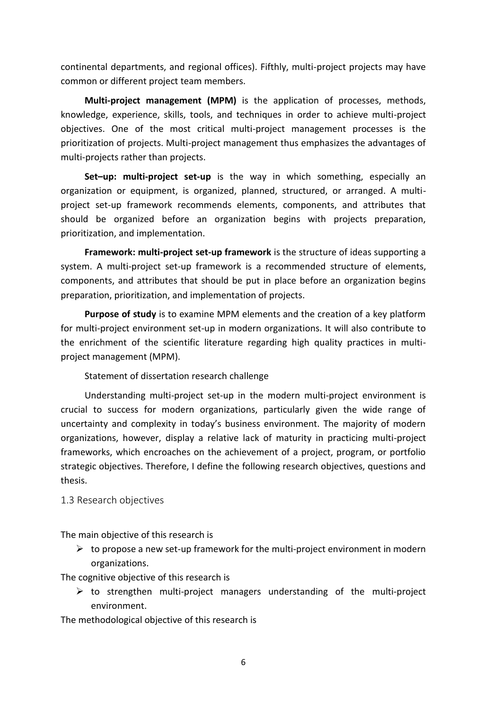continental departments, and regional offices). Fifthly, multi-project projects may have common or different project team members.

**Multi-project management (MPM)** is the application of processes, methods, knowledge, experience, skills, tools, and techniques in order to achieve multi-project objectives. One of the most critical multi-project management processes is the prioritization of projects. Multi-project management thus emphasizes the advantages of multi-projects rather than projects.

**Set-up: multi-project set-up** is the way in which something, especially an organization or equipment, is organized, planned, structured, or arranged. A multiproject set-up framework recommends elements, components, and attributes that should be organized before an organization begins with projects preparation, prioritization, and implementation.

**Framework: multi-project set-up framework** is the structure of ideas supporting a system. A multi-project set-up framework is a recommended structure of elements, components, and attributes that should be put in place before an organization begins preparation, prioritization, and implementation of projects.

**Purpose of study** is to examine MPM elements and the creation of a key platform for multi-project environment set-up in modern organizations. It will also contribute to the enrichment of the scientific literature regarding high quality practices in multiproject management (MPM).

Statement of dissertation research challenge

Understanding multi-project set-up in the modern multi-project environment is crucial to success for modern organizations, particularly given the wide range of uncertainty and complexity in today's business environment. The majority of modern organizations, however, display a relative lack of maturity in practicing multi-project frameworks, which encroaches on the achievement of a project, program, or portfolio strategic objectives. Therefore, I define the following research objectives, questions and thesis.

#### <span id="page-5-0"></span>1.3 Research objectives

The main objective of this research is

 $\triangleright$  to propose a new set-up framework for the multi-project environment in modern organizations.

The cognitive objective of this research is

 $\triangleright$  to strengthen multi-project managers understanding of the multi-project environment.

The methodological objective of this research is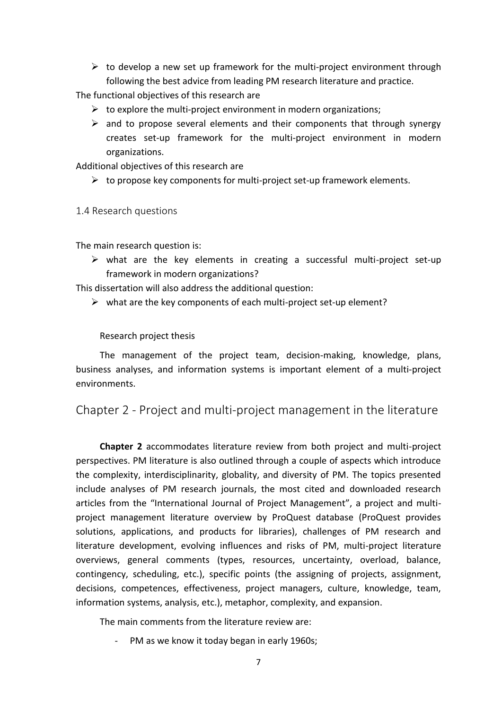$\triangleright$  to develop a new set up framework for the multi-project environment through following the best advice from leading PM research literature and practice.

The functional objectives of this research are

- $\triangleright$  to explore the multi-project environment in modern organizations;
- $\triangleright$  and to propose several elements and their components that through synergy creates set-up framework for the multi-project environment in modern organizations.

Additional objectives of this research are

 $\triangleright$  to propose key components for multi-project set-up framework elements.

#### <span id="page-6-0"></span>1.4 Research questions

The main research question is:

 $\triangleright$  what are the key elements in creating a successful multi-project set-up framework in modern organizations?

This dissertation will also address the additional question:

 $\triangleright$  what are the key components of each multi-project set-up element?

#### Research project thesis

The management of the project team, decision-making, knowledge, plans, business analyses, and information systems is important element of a multi-project environments.

<span id="page-6-1"></span>Chapter 2 - Project and multi-project management in the literature

**Chapter 2** accommodates literature review from both project and multi-project perspectives. PM literature is also outlined through a couple of aspects which introduce the complexity, interdisciplinarity, globality, and diversity of PM. The topics presented include analyses of PM research journals, the most cited and downloaded research articles from the "International Journal of Project Management", a project and multiproject management literature overview by ProQuest database (ProQuest provides solutions, applications, and products for libraries), challenges of PM research and literature development, evolving influences and risks of PM, multi-project literature overviews, general comments (types, resources, uncertainty, overload, balance, contingency, scheduling, etc.), specific points (the assigning of projects, assignment, decisions, competences, effectiveness, project managers, culture, knowledge, team, information systems, analysis, etc.), metaphor, complexity, and expansion.

The main comments from the literature review are:

PM as we know it today began in early 1960s;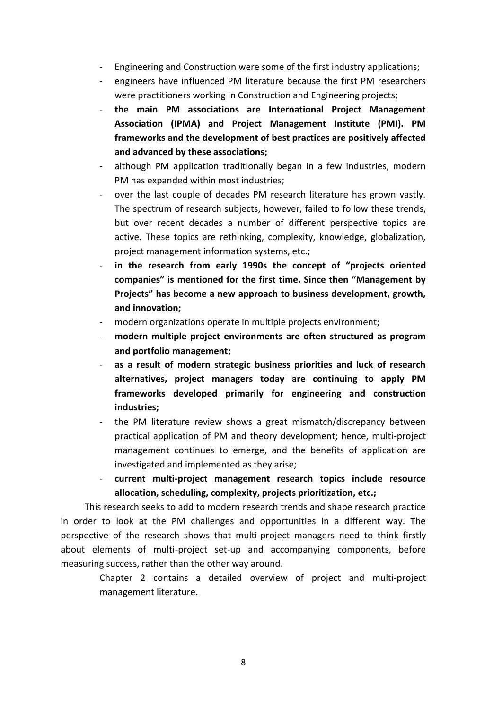- Engineering and Construction were some of the first industry applications;
- engineers have influenced PM literature because the first PM researchers were practitioners working in Construction and Engineering projects;
- **the main PM associations are International Project Management Association (IPMA) and Project Management Institute (PMI). PM frameworks and the development of best practices are positively affected and advanced by these associations;**
- although PM application traditionally began in a few industries, modern PM has expanded within most industries;
- over the last couple of decades PM research literature has grown vastly. The spectrum of research subjects, however, failed to follow these trends, but over recent decades a number of different perspective topics are active. These topics are rethinking, complexity, knowledge, globalization, project management information systems, etc.;
- **in the research from early 1990s the concept of "projects oriented companies" is mentioned for the first time. Since then "Management by Projects" has become a new approach to business development, growth, and innovation;**
- modern organizations operate in multiple projects environment;
- **modern multiple project environments are often structured as program and portfolio management;**
- **as a result of modern strategic business priorities and luck of research alternatives, project managers today are continuing to apply PM frameworks developed primarily for engineering and construction industries;**
- the PM literature review shows a great mismatch/discrepancy between practical application of PM and theory development; hence, multi-project management continues to emerge, and the benefits of application are investigated and implemented as they arise;
- **current multi-project management research topics include resource allocation, scheduling, complexity, projects prioritization, etc.;**

This research seeks to add to modern research trends and shape research practice in order to look at the PM challenges and opportunities in a different way. The perspective of the research shows that multi-project managers need to think firstly about elements of multi-project set-up and accompanying components, before measuring success, rather than the other way around.

Chapter 2 contains a detailed overview of project and multi-project management literature.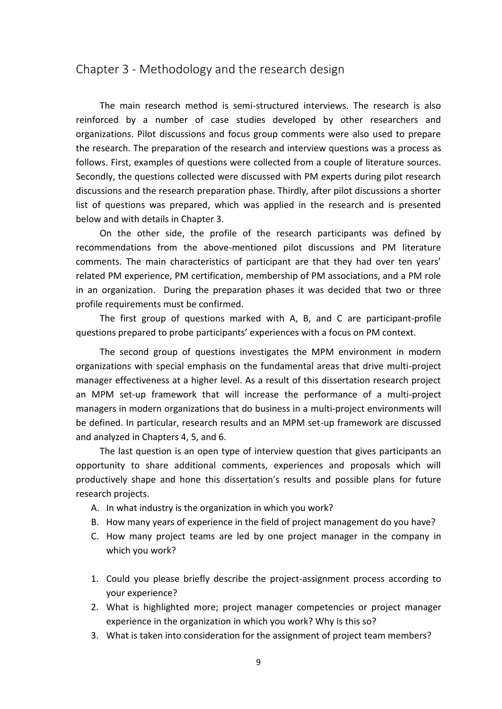### <span id="page-8-0"></span>Chapter 3 - Methodology and the research design

The main research method is semi-structured interviews. The research is also reinforced by a number of case studies developed by other researchers and organizations. Pilot discussions and focus group comments were also used to prepare the research. The preparation of the research and interview questions was a process as follows. First, examples of questions were collected from a couple of literature sources. Secondly, the questions collected were discussed with PM experts during pilot research discussions and the research preparation phase. Thirdly, after pilot discussions a shorter list of questions was prepared, which was applied in the research and is presented below and with details in Chapter 3.

On the other side, the profile of the research participants was defined by recommendations from the above-mentioned pilot discussions and PM literature comments. The main characteristics of participant are that they had over ten years' related PM experience, PM certification, membership of PM associations, and a PM role in an organization. During the preparation phases it was decided that two or three profile requirements must be confirmed.

The first group of questions marked with A, B, and C are participant-profile questions prepared to probe participants' experiences with a focus on PM context.

The second group of questions investigates the MPM environment in modern organizations with special emphasis on the fundamental areas that drive multi-project manager effectiveness at a higher level. As a result of this dissertation research project an MPM set-up framework that will increase the performance of a multi-project managers in modern organizations that do business in a multi-project environments will be defined. In particular, research results and an MPM set-up framework are discussed and analyzed in Chapters 4, 5, and 6.

The last question is an open type of interview question that gives participants an opportunity to share additional comments, experiences and proposals which will productively shape and hone this dissertation's results and possible plans for future research projects.

- A. In what industry is the organization in which you work?
- B. How many years of experience in the field of project management do you have?
- C. How many project teams are led by one project manager in the company in which you work?
- 1. Could you please briefly describe the project-assignment process according to your experience?
- 2. What is highlighted more; project manager competencies or project manager experience in the organization in which you work? Why is this so?
- 3. What is taken into consideration for the assignment of project team members?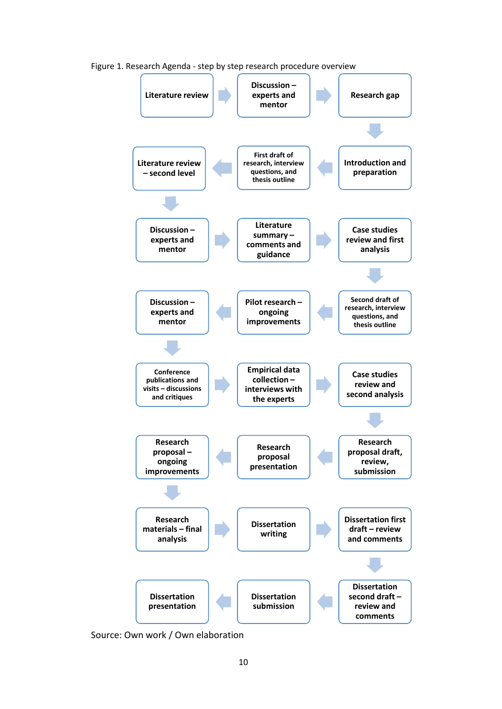

Figure 1. Research Agenda - step by step research procedure overview

Source: Own work / Own elaboration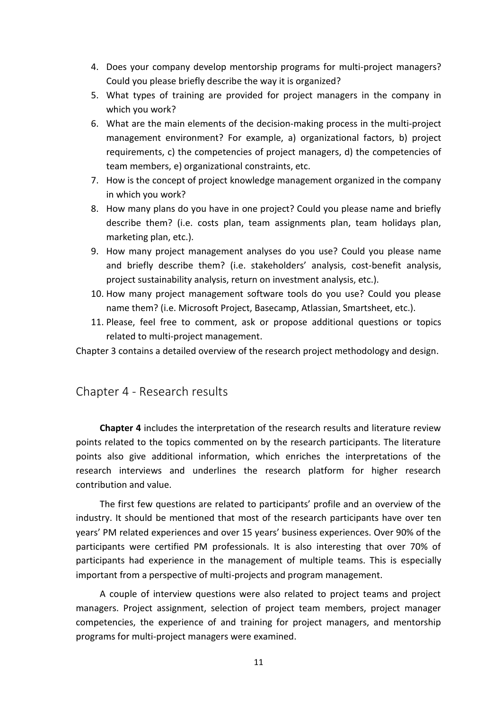- 4. Does your company develop mentorship programs for multi-project managers? Could you please briefly describe the way it is organized?
- 5. What types of training are provided for project managers in the company in which you work?
- 6. What are the main elements of the decision-making process in the multi-project management environment? For example, a) organizational factors, b) project requirements, c) the competencies of project managers, d) the competencies of team members, e) organizational constraints, etc.
- 7. How is the concept of project knowledge management organized in the company in which you work?
- 8. How many plans do you have in one project? Could you please name and briefly describe them? (i.e. costs plan, team assignments plan, team holidays plan, marketing plan, etc.).
- 9. How many project management analyses do you use? Could you please name and briefly describe them? (i.e. stakeholders' analysis, cost-benefit analysis, project sustainability analysis, return on investment analysis, etc.).
- 10. How many project management software tools do you use? Could you please name them? (i.e. Microsoft Project, Basecamp, Atlassian, Smartsheet, etc.).
- 11. Please, feel free to comment, ask or propose additional questions or topics related to multi-project management.

Chapter 3 contains a detailed overview of the research project methodology and design.

## <span id="page-10-0"></span>Chapter 4 - Research results

**Chapter 4** includes the interpretation of the research results and literature review points related to the topics commented on by the research participants. The literature points also give additional information, which enriches the interpretations of the research interviews and underlines the research platform for higher research contribution and value.

The first few questions are related to participants' profile and an overview of the industry. It should be mentioned that most of the research participants have over ten years' PM related experiences and over 15 years' business experiences. Over 90% of the participants were certified PM professionals. It is also interesting that over 70% of participants had experience in the management of multiple teams. This is especially important from a perspective of multi-projects and program management.

A couple of interview questions were also related to project teams and project managers. Project assignment, selection of project team members, project manager competencies, the experience of and training for project managers, and mentorship programs for multi-project managers were examined.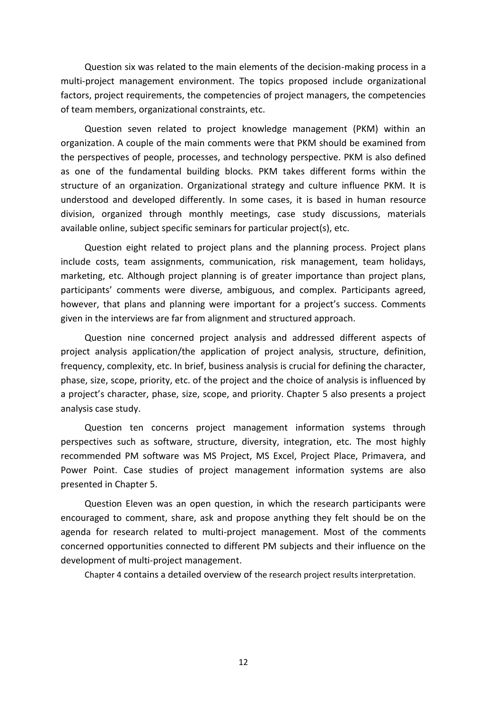Question six was related to the main elements of the decision-making process in a multi-project management environment. The topics proposed include organizational factors, project requirements, the competencies of project managers, the competencies of team members, organizational constraints, etc.

Question seven related to project knowledge management (PKM) within an organization. A couple of the main comments were that PKM should be examined from the perspectives of people, processes, and technology perspective. PKM is also defined as one of the fundamental building blocks. PKM takes different forms within the structure of an organization. Organizational strategy and culture influence PKM. It is understood and developed differently. In some cases, it is based in human resource division, organized through monthly meetings, case study discussions, materials available online, subject specific seminars for particular project(s), etc.

Question eight related to project plans and the planning process. Project plans include costs, team assignments, communication, risk management, team holidays, marketing, etc. Although project planning is of greater importance than project plans, participants' comments were diverse, ambiguous, and complex. Participants agreed, however, that plans and planning were important for a project's success. Comments given in the interviews are far from alignment and structured approach.

Question nine concerned project analysis and addressed different aspects of project analysis application/the application of project analysis, structure, definition, frequency, complexity, etc. In brief, business analysis is crucial for defining the character, phase, size, scope, priority, etc. of the project and the choice of analysis is influenced by a project's character, phase, size, scope, and priority. Chapter 5 also presents a project analysis case study.

Question ten concerns project management information systems through perspectives such as software, structure, diversity, integration, etc. The most highly recommended PM software was MS Project, MS Excel, Project Place, Primavera, and Power Point. Case studies of project management information systems are also presented in Chapter 5.

Question Eleven was an open question, in which the research participants were encouraged to comment, share, ask and propose anything they felt should be on the agenda for research related to multi-project management. Most of the comments concerned opportunities connected to different PM subjects and their influence on the development of multi-project management.

Chapter 4 contains a detailed overview of the research project results interpretation.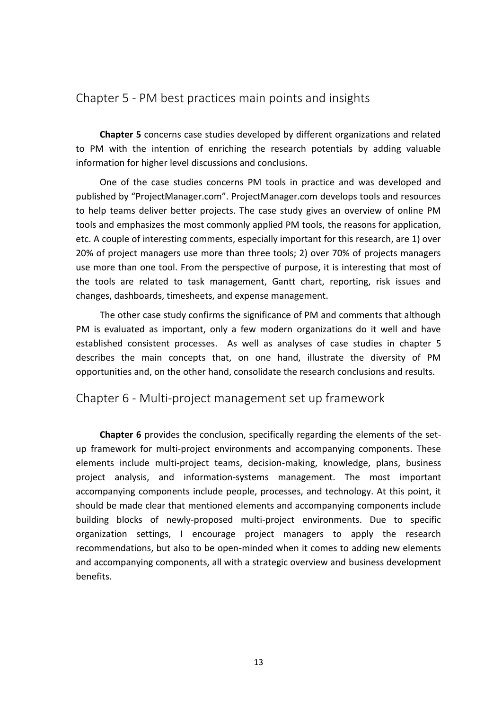# <span id="page-12-0"></span>Chapter 5 - PM best practices main points and insights

**Chapter 5** concerns case studies developed by different organizations and related to PM with the intention of enriching the research potentials by adding valuable information for higher level discussions and conclusions.

One of the case studies concerns PM tools in practice and was developed and published by "ProjectManager.com". ProjectManager.com develops tools and resources to help teams deliver better projects. The case study gives an overview of online PM tools and emphasizes the most commonly applied PM tools, the reasons for application, etc. A couple of interesting comments, especially important for this research, are 1) over 20% of project managers use more than three tools; 2) over 70% of projects managers use more than one tool. From the perspective of purpose, it is interesting that most of the tools are related to task management, Gantt chart, reporting, risk issues and changes, dashboards, timesheets, and expense management.

The other case study confirms the significance of PM and comments that although PM is evaluated as important, only a few modern organizations do it well and have established consistent processes. As well as analyses of case studies in chapter 5 describes the main concepts that, on one hand, illustrate the diversity of PM opportunities and, on the other hand, consolidate the research conclusions and results.

<span id="page-12-1"></span>Chapter 6 - Multi-project management set up framework

**Chapter 6** provides the conclusion, specifically regarding the elements of the setup framework for multi-project environments and accompanying components. These elements include multi-project teams, decision-making, knowledge, plans, business project analysis, and information-systems management. The most important accompanying components include people, processes, and technology. At this point, it should be made clear that mentioned elements and accompanying components include building blocks of newly-proposed multi-project environments. Due to specific organization settings, I encourage project managers to apply the research recommendations, but also to be open-minded when it comes to adding new elements and accompanying components, all with a strategic overview and business development benefits.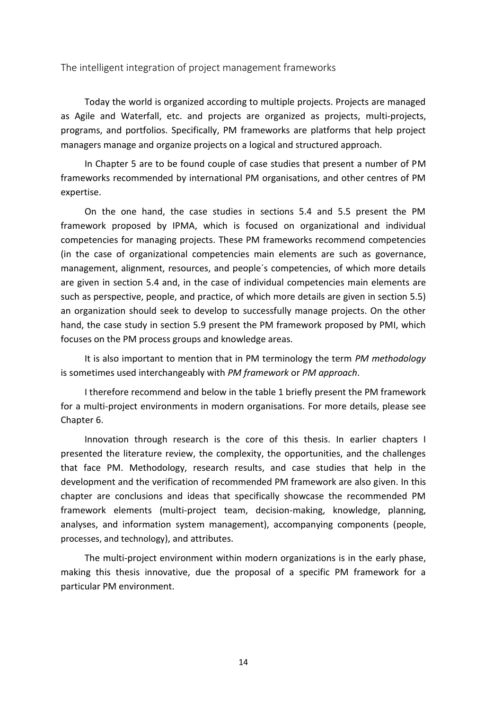<span id="page-13-0"></span>The intelligent integration of project management frameworks

Today the world is organized according to multiple projects. Projects are managed as Agile and Waterfall, etc. and projects are organized as projects, multi-projects, programs, and portfolios. Specifically, PM frameworks are platforms that help project managers manage and organize projects on a logical and structured approach.

In Chapter 5 are to be found couple of case studies that present a number of PM frameworks recommended by international PM organisations, and other centres of PM expertise.

On the one hand, the case studies in sections 5.4 and 5.5 present the PM framework proposed by IPMA, which is focused on organizational and individual competencies for managing projects. These PM frameworks recommend competencies (in the case of organizational competencies main elements are such as governance, management, alignment, resources, and people´s competencies, of which more details are given in section 5.4 and, in the case of individual competencies main elements are such as perspective, people, and practice, of which more details are given in section 5.5) an organization should seek to develop to successfully manage projects. On the other hand, the case study in section 5.9 present the PM framework proposed by PMI, which focuses on the PM process groups and knowledge areas.

It is also important to mention that in PM terminology the term *PM methodology* is sometimes used interchangeably with *PM framework* or *PM approach*.

I therefore recommend and below in the table 1 briefly present the PM framework for a multi-project environments in modern organisations. For more details, please see Chapter 6.

Innovation through research is the core of this thesis. In earlier chapters I presented the literature review, the complexity, the opportunities, and the challenges that face PM. Methodology, research results, and case studies that help in the development and the verification of recommended PM framework are also given. In this chapter are conclusions and ideas that specifically showcase the recommended PM framework elements (multi-project team, decision-making, knowledge, planning, analyses, and information system management), accompanying components (people, processes, and technology), and attributes.

The multi-project environment within modern organizations is in the early phase, making this thesis innovative, due the proposal of a specific PM framework for a particular PM environment.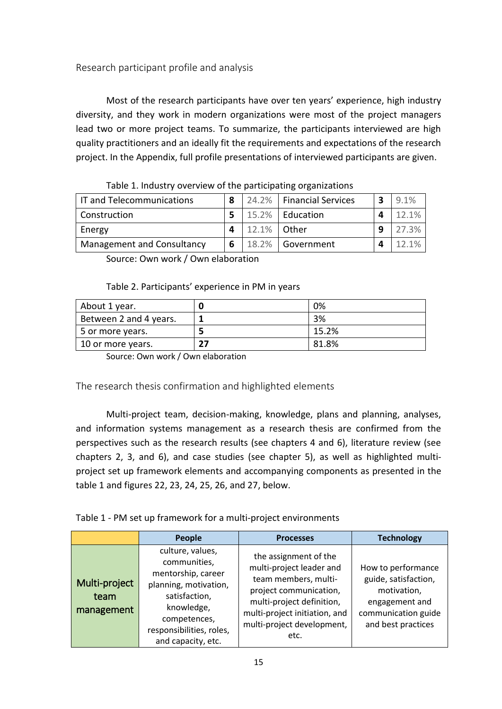<span id="page-14-0"></span>Research participant profile and analysis

Most of the research participants have over ten years' experience, high industry diversity, and they work in modern organizations were most of the project managers lead two or more project teams. To summarize, the participants interviewed are high quality practitioners and an ideally fit the requirements and expectations of the research project. In the Appendix, full profile presentations of interviewed participants are given.

| IT and Telecommunications  | 8 |             | 24.2%   Financial Services | 3 | 9.1%     |
|----------------------------|---|-------------|----------------------------|---|----------|
| <b>Construction</b>        |   |             | 15.2%   Education          |   | 12.1%    |
| Energy                     |   | 12.1% Other |                            |   | 27.3%    |
| Management and Consultancy | 6 |             | 18.2%   Government         |   | $12.1\%$ |

| Table 1. Industry overview of the participating organizations |  |  |  |
|---------------------------------------------------------------|--|--|--|
|---------------------------------------------------------------|--|--|--|

Source: Own work / Own elaboration

#### Table 2. Participants' experience in PM in years

| About 1 year.          | 0%    |
|------------------------|-------|
| Between 2 and 4 years. | 3%    |
| 5 or more years.       | 15.2% |
| 10 or more years.      | 81.8% |

Source: Own work / Own elaboration

#### <span id="page-14-1"></span>The research thesis confirmation and highlighted elements

Multi-project team, decision-making, knowledge, plans and planning, analyses, and information systems management as a research thesis are confirmed from the perspectives such as the research results (see chapters 4 and 6), literature review (see chapters 2, 3, and 6), and case studies (see chapter 5), as well as highlighted multiproject set up framework elements and accompanying components as presented in the table 1 and figures 22, 23, 24, 25, 26, and 27, below.

#### Table 1 - PM set up framework for a multi-project environments

|                                     | <b>People</b>                                                                                                                                                                    | <b>Processes</b>                                                                                                                                                                                        | <b>Technology</b>                                                                                                        |
|-------------------------------------|----------------------------------------------------------------------------------------------------------------------------------------------------------------------------------|---------------------------------------------------------------------------------------------------------------------------------------------------------------------------------------------------------|--------------------------------------------------------------------------------------------------------------------------|
| Multi-project<br>team<br>management | culture, values,<br>communities,<br>mentorship, career<br>planning, motivation,<br>satisfaction,<br>knowledge,<br>competences,<br>responsibilities, roles,<br>and capacity, etc. | the assignment of the<br>multi-project leader and<br>team members, multi-<br>project communication,<br>multi-project definition,<br>multi-project initiation, and<br>multi-project development,<br>etc. | How to performance<br>guide, satisfaction,<br>motivation,<br>engagement and<br>communication guide<br>and best practices |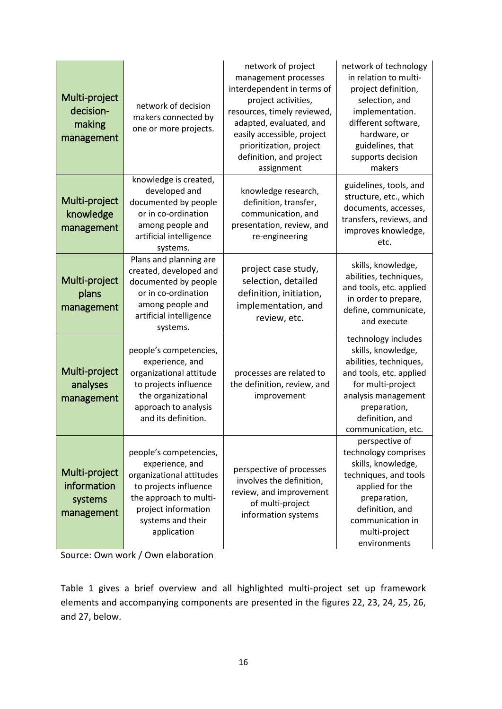| Multi-project<br>decision-<br>making<br>management    | network of decision<br>makers connected by<br>one or more projects.                                                                                                                 | network of project<br>management processes<br>interdependent in terms of<br>project activities,<br>resources, timely reviewed,<br>adapted, evaluated, and<br>easily accessible, project<br>prioritization, project<br>definition, and project<br>assignment | network of technology<br>in relation to multi-<br>project definition,<br>selection, and<br>implementation.<br>different software,<br>hardware, or<br>guidelines, that<br>supports decision<br>makers |
|-------------------------------------------------------|-------------------------------------------------------------------------------------------------------------------------------------------------------------------------------------|-------------------------------------------------------------------------------------------------------------------------------------------------------------------------------------------------------------------------------------------------------------|------------------------------------------------------------------------------------------------------------------------------------------------------------------------------------------------------|
| Multi-project<br>knowledge<br>management              | knowledge is created,<br>developed and<br>documented by people<br>or in co-ordination<br>among people and<br>artificial intelligence<br>systems.                                    | knowledge research,<br>definition, transfer,<br>communication, and<br>presentation, review, and<br>re-engineering                                                                                                                                           | guidelines, tools, and<br>structure, etc., which<br>documents, accesses,<br>transfers, reviews, and<br>improves knowledge,<br>etc.                                                                   |
| Multi-project<br>plans<br>management                  | Plans and planning are<br>created, developed and<br>documented by people<br>or in co-ordination<br>among people and<br>artificial intelligence<br>systems.                          | project case study,<br>selection, detailed<br>definition, initiation,<br>implementation, and<br>review, etc.                                                                                                                                                | skills, knowledge,<br>abilities, techniques,<br>and tools, etc. applied<br>in order to prepare,<br>define, communicate,<br>and execute                                                               |
| Multi-project<br>analyses<br>management               | people's competencies,<br>experience, and<br>organizational attitude<br>to projects influence<br>the organizational<br>approach to analysis<br>and its definition.                  | processes are related to<br>the definition, review, and<br>improvement                                                                                                                                                                                      | technology includes<br>skills, knowledge,<br>abilities, techniques,<br>and tools, etc. applied<br>for multi-project<br>analysis management<br>preparation,<br>definition, and<br>communication, etc. |
| Multi-project<br>information<br>systems<br>management | people's competencies,<br>experience, and<br>organizational attitudes<br>to projects influence<br>the approach to multi-<br>project information<br>systems and their<br>application | perspective of processes<br>involves the definition,<br>review, and improvement<br>of multi-project<br>information systems                                                                                                                                  | perspective of<br>technology comprises<br>skills, knowledge,<br>techniques, and tools<br>applied for the<br>preparation,<br>definition, and<br>communication in<br>multi-project<br>environments     |

Source: Own work / Own elaboration

Table 1 gives a brief overview and all highlighted multi-project set up framework elements and accompanying components are presented in the figures 22, 23, 24, 25, 26, and 27, below.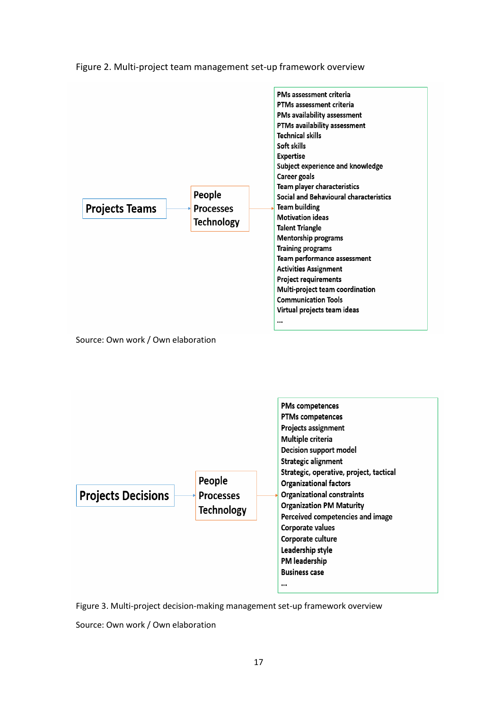

Figure 2. Multi-project team management set-up framework overview



Figure 3. Multi-project decision-making management set-up framework overview

Source: Own work / Own elaboration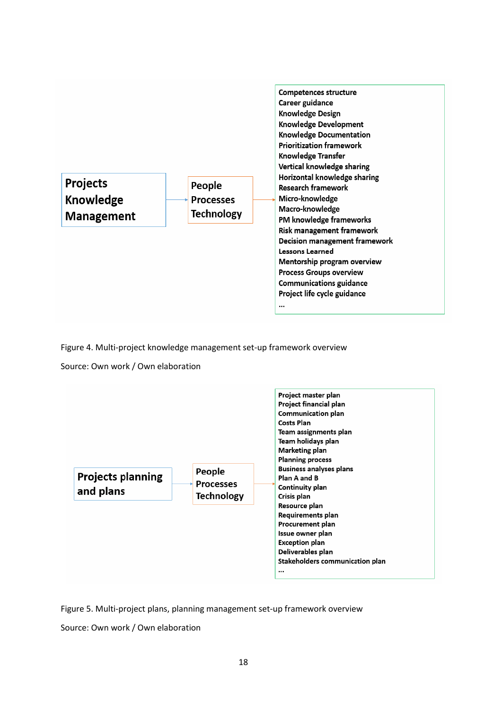

Figure 4. Multi-project knowledge management set-up framework overview

Source: Own work / Own elaboration



Figure 5. Multi-project plans, planning management set-up framework overview

Source: Own work / Own elaboration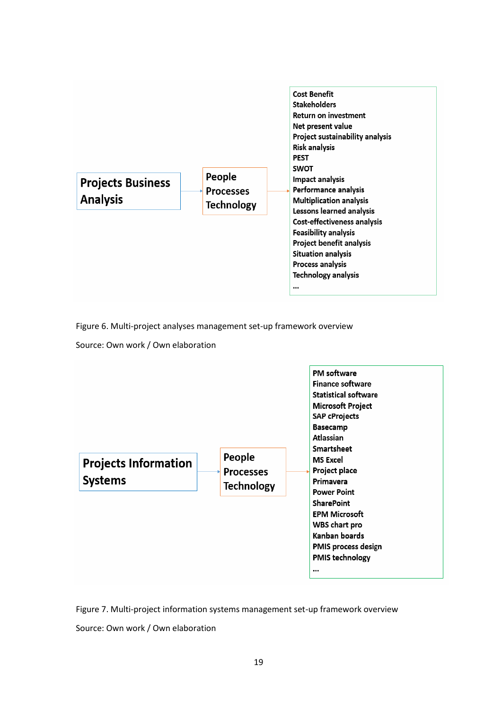

Figure 6. Multi-project analyses management set-up framework overview

Source: Own work / Own elaboration



Figure 7. Multi-project information systems management set-up framework overview

Source: Own work / Own elaboration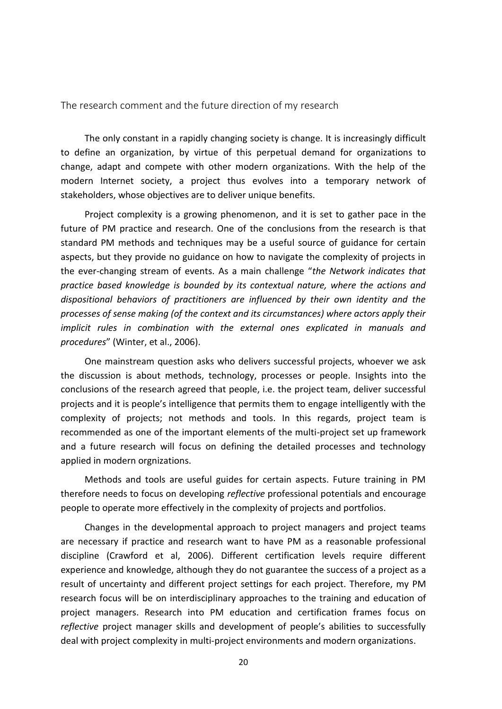<span id="page-19-0"></span>The research comment and the future direction of my research

The only constant in a rapidly changing society is change. It is increasingly difficult to define an organization, by virtue of this perpetual demand for organizations to change, adapt and compete with other modern organizations. With the help of the modern Internet society, a project thus evolves into a temporary network of stakeholders, whose objectives are to deliver unique benefits.

Project complexity is a growing phenomenon, and it is set to gather pace in the future of PM practice and research. One of the conclusions from the research is that standard PM methods and techniques may be a useful source of guidance for certain aspects, but they provide no guidance on how to navigate the complexity of projects in the ever-changing stream of events. As a main challenge "*the Network indicates that practice based knowledge is bounded by its contextual nature, where the actions and dispositional behaviors of practitioners are influenced by their own identity and the processes of sense making (of the context and its circumstances) where actors apply their implicit rules in combination with the external ones explicated in manuals and procedures*" (Winter, et al., 2006).

One mainstream question asks who delivers successful projects, whoever we ask the discussion is about methods, technology, processes or people. Insights into the conclusions of the research agreed that people, i.e. the project team, deliver successful projects and it is people's intelligence that permits them to engage intelligently with the complexity of projects; not methods and tools. In this regards, project team is recommended as one of the important elements of the multi-project set up framework and a future research will focus on defining the detailed processes and technology applied in modern orgnizations.

Methods and tools are useful guides for certain aspects. Future training in PM therefore needs to focus on developing *reflective* professional potentials and encourage people to operate more effectively in the complexity of projects and portfolios.

Changes in the developmental approach to project managers and project teams are necessary if practice and research want to have PM as a reasonable professional discipline (Crawford et al, 2006). Different certification levels require different experience and knowledge, although they do not guarantee the success of a project as a result of uncertainty and different project settings for each project. Therefore, my PM research focus will be on interdisciplinary approaches to the training and education of project managers. Research into PM education and certification frames focus on *reflective* project manager skills and development of people's abilities to successfully deal with project complexity in multi-project environments and modern organizations.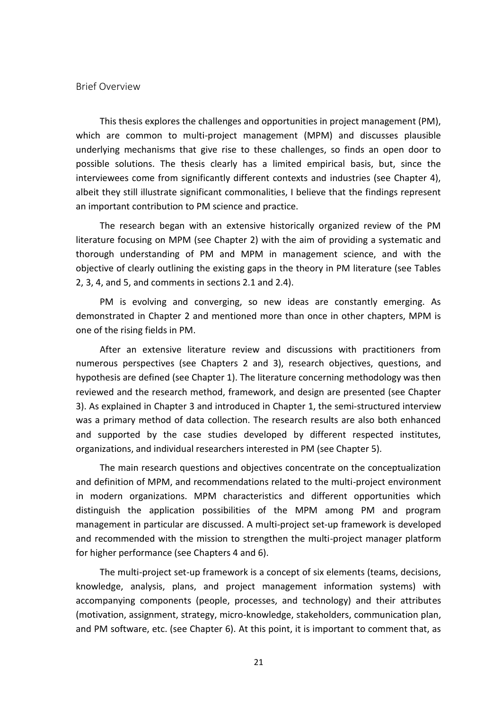<span id="page-20-0"></span>Brief Overview

This thesis explores the challenges and opportunities in project management (PM), which are common to multi-project management (MPM) and discusses plausible underlying mechanisms that give rise to these challenges, so finds an open door to possible solutions. The thesis clearly has a limited empirical basis, but, since the interviewees come from significantly different contexts and industries (see Chapter 4), albeit they still illustrate significant commonalities, I believe that the findings represent an important contribution to PM science and practice.

The research began with an extensive historically organized review of the PM literature focusing on MPM (see Chapter 2) with the aim of providing a systematic and thorough understanding of PM and MPM in management science, and with the objective of clearly outlining the existing gaps in the theory in PM literature (see Tables 2, 3, 4, and 5, and comments in sections 2.1 and 2.4).

PM is evolving and converging, so new ideas are constantly emerging. As demonstrated in Chapter 2 and mentioned more than once in other chapters, MPM is one of the rising fields in PM.

After an extensive literature review and discussions with practitioners from numerous perspectives (see Chapters 2 and 3), research objectives, questions, and hypothesis are defined (see Chapter 1). The literature concerning methodology was then reviewed and the research method, framework, and design are presented (see Chapter 3). As explained in Chapter 3 and introduced in Chapter 1, the semi-structured interview was a primary method of data collection. The research results are also both enhanced and supported by the case studies developed by different respected institutes, organizations, and individual researchers interested in PM (see Chapter 5).

The main research questions and objectives concentrate on the conceptualization and definition of MPM, and recommendations related to the multi-project environment in modern organizations. MPM characteristics and different opportunities which distinguish the application possibilities of the MPM among PM and program management in particular are discussed. A multi-project set-up framework is developed and recommended with the mission to strengthen the multi-project manager platform for higher performance (see Chapters 4 and 6).

The multi-project set-up framework is a concept of six elements (teams, decisions, knowledge, analysis, plans, and project management information systems) with accompanying components (people, processes, and technology) and their attributes (motivation, assignment, strategy, micro-knowledge, stakeholders, communication plan, and PM software, etc. (see Chapter 6). At this point, it is important to comment that, as